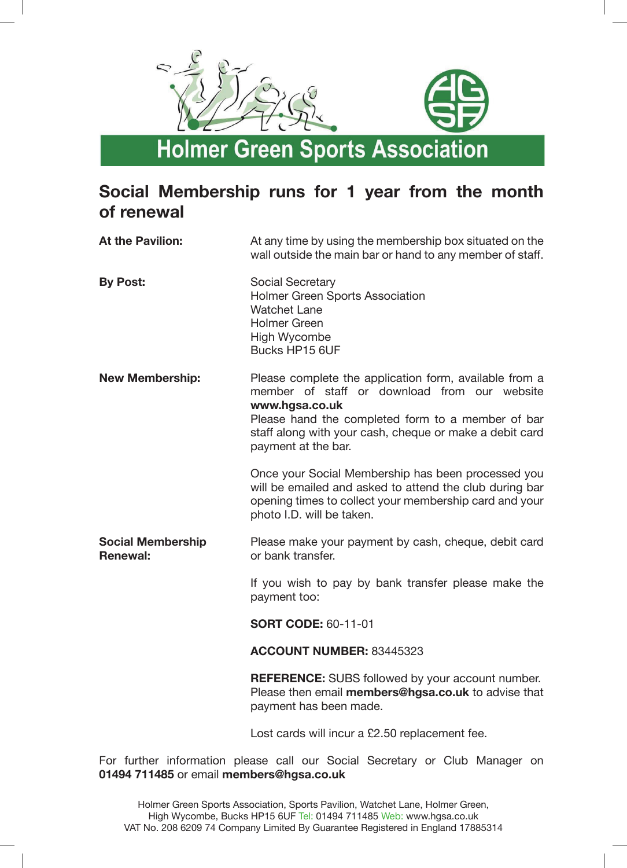

## **Social Membership runs for 1 year from the month of renewal**

| <b>At the Pavilion:</b>                     | At any time by using the membership box situated on the<br>wall outside the main bar or hand to any member of staff.                                                                                                                                            |
|---------------------------------------------|-----------------------------------------------------------------------------------------------------------------------------------------------------------------------------------------------------------------------------------------------------------------|
| <b>By Post:</b>                             | <b>Social Secretary</b><br>Holmer Green Sports Association<br><b>Watchet Lane</b><br><b>Holmer Green</b><br>High Wycombe<br>Bucks HP15 6UF                                                                                                                      |
| <b>New Membership:</b>                      | Please complete the application form, available from a<br>member of staff or download from our website<br>www.hgsa.co.uk<br>Please hand the completed form to a member of bar<br>staff along with your cash, cheque or make a debit card<br>payment at the bar. |
|                                             | Once your Social Membership has been processed you<br>will be emailed and asked to attend the club during bar<br>opening times to collect your membership card and your<br>photo I.D. will be taken.                                                            |
| <b>Social Membership</b><br><b>Renewal:</b> | Please make your payment by cash, cheque, debit card<br>or bank transfer.                                                                                                                                                                                       |
|                                             | If you wish to pay by bank transfer please make the<br>payment too:                                                                                                                                                                                             |
|                                             | <b>SORT CODE: 60-11-01</b>                                                                                                                                                                                                                                      |
|                                             | ACCOUNT NUMBER: 83445323                                                                                                                                                                                                                                        |
|                                             | <b>REFERENCE:</b> SUBS followed by your account number.<br>Please then email members@hgsa.co.uk to advise that<br>payment has been made.                                                                                                                        |
|                                             | Lost cards will incur a £2.50 replacement fee.                                                                                                                                                                                                                  |

For further information please call our Social Secretary or Club Manager on **01494 711485** or email **members@hgsa.co.uk**